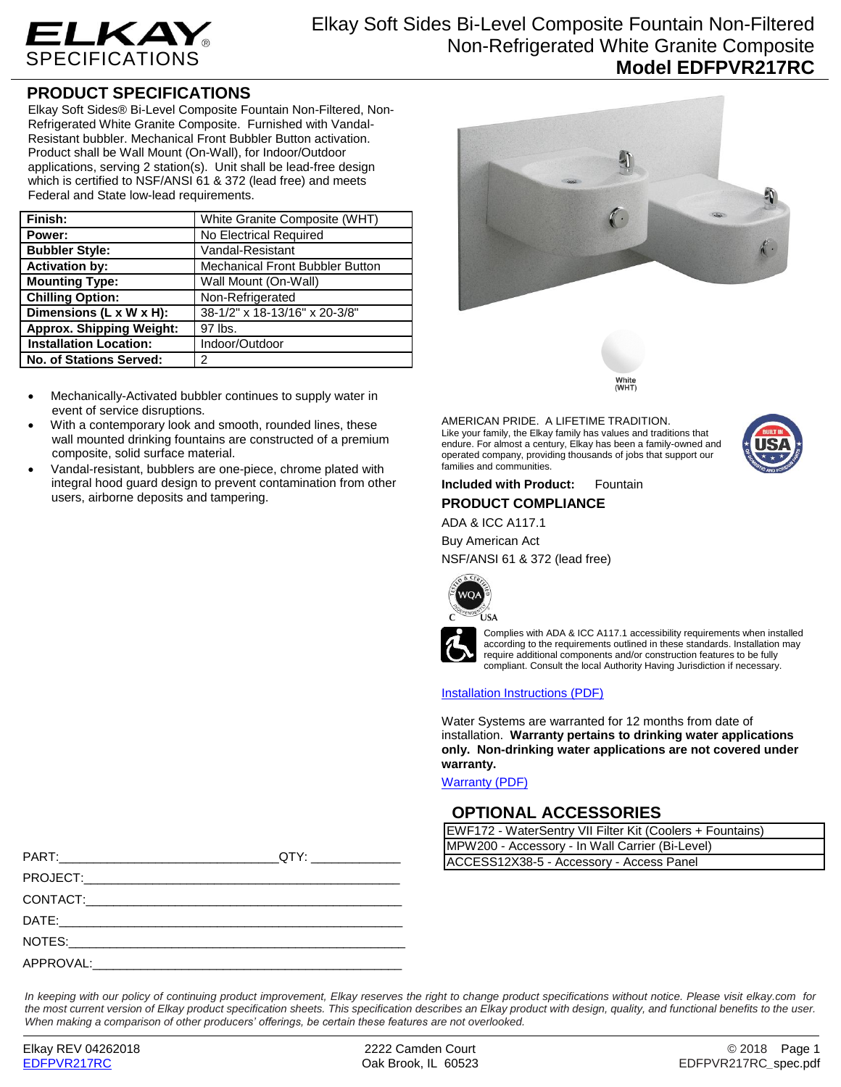

## **PRODUCT SPECIFICATIONS**

Elkay Soft Sides® Bi-Level Composite Fountain Non-Filtered, Non-Refrigerated White Granite Composite. Furnished with Vandal-Resistant bubbler. Mechanical Front Bubbler Button activation. Product shall be Wall Mount (On-Wall), for Indoor/Outdoor applications, serving 2 station(s). Unit shall be lead-free design which is certified to NSF/ANSI 61 & 372 (lead free) and meets Federal and State low-lead requirements.

| Finish:                               | White Granite Composite (WHT)   |  |
|---------------------------------------|---------------------------------|--|
| Power:                                | No Electrical Required          |  |
| <b>Bubbler Style:</b>                 | Vandal-Resistant                |  |
| <b>Activation by:</b>                 | Mechanical Front Bubbler Button |  |
| <b>Mounting Type:</b>                 | Wall Mount (On-Wall)            |  |
| <b>Chilling Option:</b>               | Non-Refrigerated                |  |
| Dimensions ( $L \times W \times H$ ): | 38-1/2" x 18-13/16" x 20-3/8"   |  |
| <b>Approx. Shipping Weight:</b>       | 97 lbs.                         |  |
| <b>Installation Location:</b>         | Indoor/Outdoor                  |  |
| <b>No. of Stations Served:</b>        | 2                               |  |

- Mechanically-Activated bubbler continues to supply water in event of service disruptions.
- With a contemporary look and smooth, rounded lines, these wall mounted drinking fountains are constructed of a premium composite, solid surface material.
- Vandal-resistant, bubblers are one-piece, chrome plated with integral hood guard design to prevent contamination from other users, airborne deposits and tampering.



White<br>(WHT)

AMERICAN PRIDE. A LIFETIME TRADITION. Like your family, the Elkay family has values and traditions that endure. For almost a century, Elkay has been a family-owned and operated company, providing thousands of jobs that support our families and communities.



### **Included with Product:** Fountain **PRODUCT COMPLIANCE**

ADA & ICC A117.1

#### Buy American Act

NSF/ANSI 61 & 372 (lead free)





Complies with ADA & ICC A117.1 accessibility requirements when installed according to the requirements outlined in these standards. Installation may require additional components and/or construction features to be fully compliant. Consult the local Authority Having Jurisdiction if necessary.

#### [Installation Instructions \(PDF\)](http://www.elkay.com/wcsstore/lkdocs/care-cleaning-install-warranty-sheets/98409c.pdf)

Water Systems are warranted for 12 months from date of installation. **Warranty pertains to drinking water applications only. Non-drinking water applications are not covered under warranty.**

[Warranty](http://www.elkay.com/wcsstore/lkdocs/care-cleaning-install-warranty-sheets/96993c.pdf) (PDF)

## **OPTIONAL ACCESSORIES**

| EWF172 - WaterSentry VII Filter Kit (Coolers + Fountains) |  |  |
|-----------------------------------------------------------|--|--|
| MPW200 - Accessory - In Wall Carrier (Bi-Level)           |  |  |
| ACCESS12X38-5 - Accessory - Access Panel                  |  |  |

|  | IMP WZOU - ACCESSORY - IN WAII CANIER (BI-LEV |  |
|--|-----------------------------------------------|--|
|  | ACCESS12X38-5 - Accessory - Access Panel      |  |
|  |                                               |  |
|  |                                               |  |
|  |                                               |  |
|  |                                               |  |
|  |                                               |  |

*In keeping with our policy of continuing product improvement, Elkay reserves the right to change product specifications without notice. Please visit elkay.com for the most current version of Elkay product specification sheets. This specification describes an Elkay product with design, quality, and functional benefits to the user. When making a comparison of other producers' offerings, be certain these features are not overlooked.*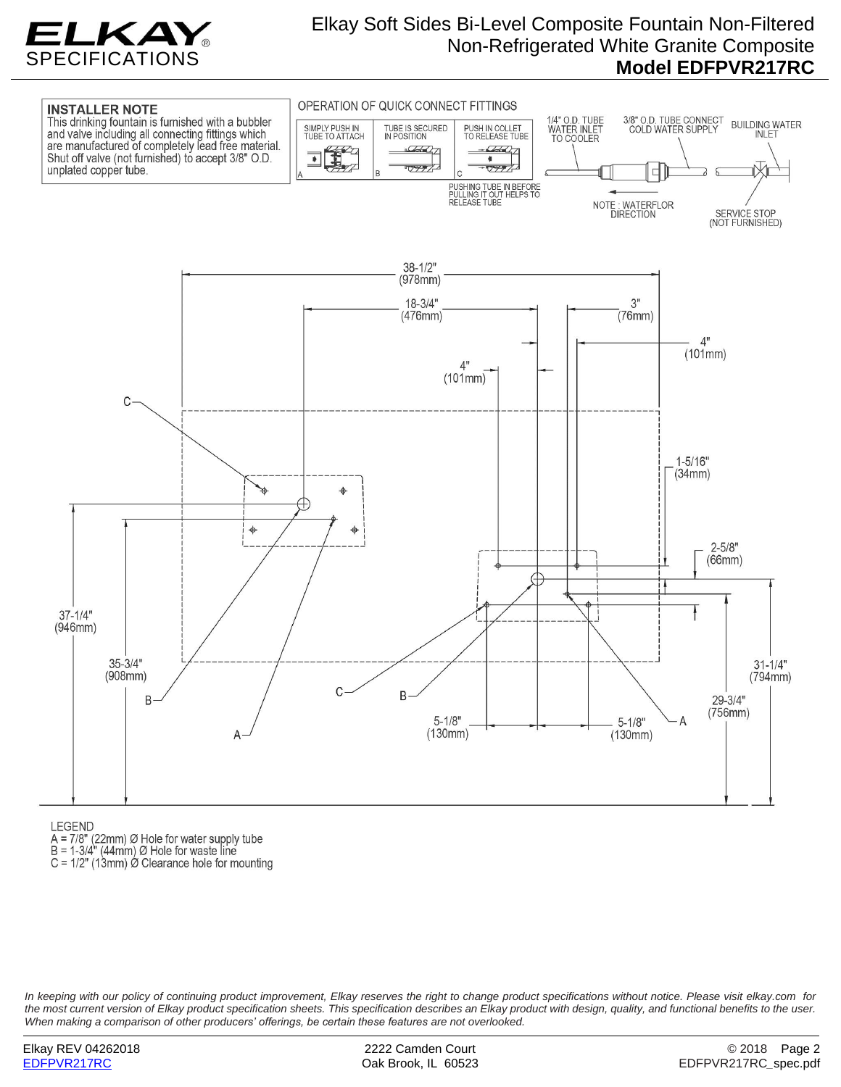

# Elkay Soft Sides Bi-Level Composite Fountain Non-Filtered Non-Refrigerated White Granite Composite **Model EDFPVR217RC**



**LEGEND** 

- 
- $A = 7/8$ " (22mm) Ø Hole for water supply tube<br>B = 1-3/4" (44mm) Ø Hole for waste line
- C =  $1/2$ " (13mm)  $\varnothing$  Clearance hole for mounting

*In keeping with our policy of continuing product improvement, Elkay reserves the right to change product specifications without notice. Please visit elkay.com for the most current version of Elkay product specification sheets. This specification describes an Elkay product with design, quality, and functional benefits to the user. When making a comparison of other producers' offerings, be certain these features are not overlooked.*